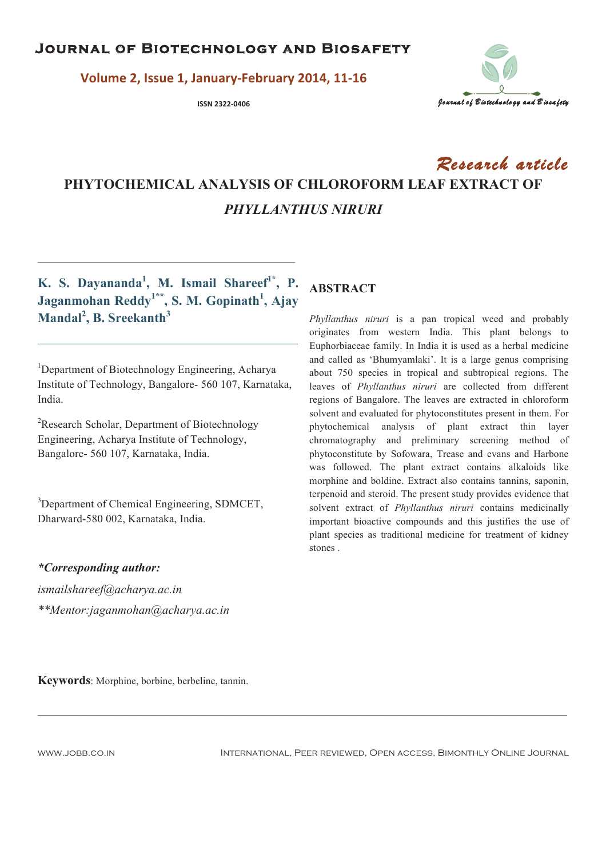**Yolume 2, Issue 1, January-February 2014, 11-16** 



# Research article **PHYTOCHEMICAL ANALYSIS OF CHLOROFORM LEAF EXTRACT OF**  *PHYLLANTHUS NIRURI*

**K. S. Dayananda<sup>1</sup> , M. Ismail Shareef1\*, P. Jaganmohan Reddy1\*\*, S. M. Gopinath<sup>1</sup> , Ajay Mandal<sup>2</sup> , B. Sreekanth<sup>3</sup>**

**\_\_\_\_\_\_\_\_\_\_\_\_\_\_\_\_\_\_\_\_\_\_\_\_\_\_\_\_\_\_\_\_\_\_\_\_\_\_\_\_\_\_\_\_\_\_\_\_\_\_\_\_\_\_\_\_\_\_\_\_\_\_\_\_\_\_\_\_\_\_\_\_\_**

\_\_\_\_\_\_\_\_\_\_\_\_\_\_\_\_\_\_\_\_\_\_\_\_\_\_\_\_\_\_\_\_\_\_\_\_\_\_\_\_\_\_\_\_\_\_

<sup>1</sup>Department of Biotechnology Engineering, Acharya Institute of Technology, Bangalore- 560 107, Karnataka, India.

<sup>2</sup>Research Scholar, Department of Biotechnology Engineering, Acharya Institute of Technology, Bangalore- 560 107, Karnataka, India.

<sup>3</sup>Department of Chemical Engineering, SDMCET, Dharward-580 002, Karnataka, India.

# **ABSTRACT**

*Phyllanthus niruri* is a pan tropical weed and probably originates from western India. This plant belongs to Euphorbiaceae family. In India it is used as a herbal medicine and called as 'Bhumyamlaki'. It is a large genus comprising about 750 species in tropical and subtropical regions. The leaves of *Phyllanthus niruri* are collected from different regions of Bangalore. The leaves are extracted in chloroform solvent and evaluated for phytoconstitutes present in them. For phytochemical analysis of plant extract thin layer chromatography and preliminary screening method of phytoconstitute by Sofowara, Trease and evans and Harbone was followed. The plant extract contains alkaloids like morphine and boldine. Extract also contains tannins, saponin, terpenoid and steroid. The present study provides evidence that solvent extract of *Phyllanthus niruri* contains medicinally important bioactive compounds and this justifies the use of plant species as traditional medicine for treatment of kidney stones .

*\*Corresponding author:* 

*ismailshareef@acharya.ac.in \*\*Mentor:jaganmohan@acharya.ac.in* 

**Keywords**: Morphine, borbine, berbeline, tannin.

www.jobb.co.in International, Peer reviewed, Open access, Bimonthly Online Journal

 $\_$  , and the state of the state of the state of the state of the state of the state of the state of the state of the state of the state of the state of the state of the state of the state of the state of the state of the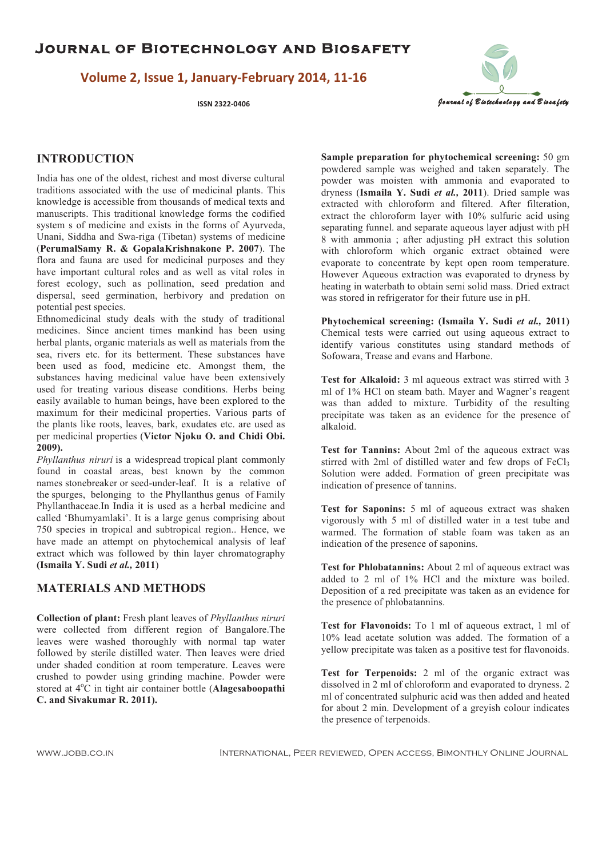**Yolume 2, Issue 1, January-February 2014, 11-16** 



#### **INTRODUCTION**

India has one of the oldest, richest and most diverse cultural traditions associated with the use of medicinal plants. This knowledge is accessible from thousands of medical texts and manuscripts. This traditional knowledge forms the codified system s of medicine and exists in the forms of Ayurveda, Unani, Siddha and Swa-riga (Tibetan) systems of medicine (**PerumalSamy R. & GopalaKrishnakone P. 2007**). The flora and fauna are used for medicinal purposes and they have important cultural roles and as well as vital roles in forest ecology, such as pollination, seed predation and dispersal, seed germination, herbivory and predation on potential pest species.

Ethnomedicinal study deals with the study of traditional medicines. Since ancient times mankind has been using herbal plants, organic materials as well as materials from the sea, rivers etc. for its betterment. These substances have been used as food, medicine etc. Amongst them, the substances having medicinal value have been extensively used for treating various disease conditions. Herbs being easily available to human beings, have been explored to the maximum for their medicinal properties. Various parts of the plants like roots, leaves, bark, exudates etc. are used as per medicinal properties (**Victor Njoku O. and Chidi Obi. 2009).** 

*Phyllanthus niruri* is a widespread tropical plant commonly found in coastal areas, best known by the common names stonebreaker or seed-under-leaf. It is a relative of the spurges, belonging to the Phyllanthus genus of Family Phyllanthaceae.In India it is used as a herbal medicine and called 'Bhumyamlaki'. It is a large genus comprising about 750 species in tropical and subtropical region.. Hence, we have made an attempt on phytochemical analysis of leaf extract which was followed by thin layer chromatography **(Ismaila Y. Sudi** *et al.,* **2011**)

#### **MATERIALS AND METHODS**

**Collection of plant:** Fresh plant leaves of *Phyllanthus niruri* were collected from different region of Bangalore.The leaves were washed thoroughly with normal tap water followed by sterile distilled water. Then leaves were dried under shaded condition at room temperature. Leaves were crushed to powder using grinding machine. Powder were stored at  $4^{\circ}$ C in tight air container bottle (**Alagesaboopathi C. and Sivakumar R. 2011).** 

**Sample preparation for phytochemical screening:** 50 gm powdered sample was weighed and taken separately. The powder was moisten with ammonia and evaporated to dryness (**Ismaila Y. Sudi** *et al.,* **2011**). Dried sample was extracted with chloroform and filtered. After filteration, extract the chloroform layer with 10% sulfuric acid using separating funnel. and separate aqueous layer adjust with pH 8 with ammonia ; after adjusting pH extract this solution with chloroform which organic extract obtained were evaporate to concentrate by kept open room temperature. However Aqueous extraction was evaporated to dryness by heating in waterbath to obtain semi solid mass. Dried extract was stored in refrigerator for their future use in pH.

**Phytochemical screening: (Ismaila Y. Sudi** *et al.,* **2011)**  Chemical tests were carried out using aqueous extract to identify various constitutes using standard methods of Sofowara, Trease and evans and Harbone.

**Test for Alkaloid:** 3 ml aqueous extract was stirred with 3 ml of 1% HCl on steam bath. Mayer and Wagner's reagent was than added to mixture. Turbidity of the resulting precipitate was taken as an evidence for the presence of alkaloid.

**Test for Tannins:** About 2ml of the aqueous extract was stirred with 2ml of distilled water and few drops of FeCl<sub>3</sub> Solution were added. Formation of green precipitate was indication of presence of tannins.

**Test for Saponins:** 5 ml of aqueous extract was shaken vigorously with 5 ml of distilled water in a test tube and warmed. The formation of stable foam was taken as an indication of the presence of saponins.

**Test for Phlobatannins:** About 2 ml of aqueous extract was added to 2 ml of 1% HCl and the mixture was boiled. Deposition of a red precipitate was taken as an evidence for the presence of phlobatannins.

**Test for Flavonoids:** To 1 ml of aqueous extract, 1 ml of 10% lead acetate solution was added. The formation of a yellow precipitate was taken as a positive test for flavonoids.

**Test for Terpenoids:** 2 ml of the organic extract was dissolved in 2 ml of chloroform and evaporated to dryness. 2 ml of concentrated sulphuric acid was then added and heated for about 2 min. Development of a greyish colour indicates the presence of terpenoids.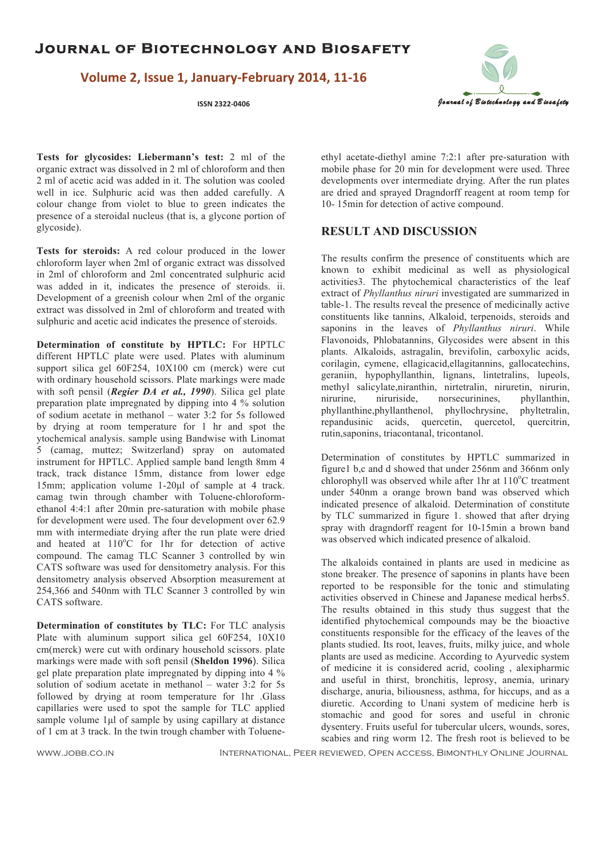**Yolume 2, Issue 1, January-February 2014, 11-16** 



**Tests for glycosides: Liebermann's test:** 2 ml of the organic extract was dissolved in 2 ml of chloroform and then 2 ml of acetic acid was added in it. The solution was cooled well in ice. Sulphuric acid was then added carefully. A colour change from violet to blue to green indicates the presence of a steroidal nucleus (that is, a glycone portion of glycoside).

**Tests for steroids:** A red colour produced in the lower chloroform layer when 2ml of organic extract was dissolved in 2ml of chloroform and 2ml concentrated sulphuric acid was added in it, indicates the presence of steroids, ii. Development of a greenish colour when 2ml of the organic extract was dissolved in 2ml of chloroform and treated with sulphuric and acetic acid indicates the presence of steroids.

**Determination of constitute by HPTLC:** For HPTLC different HPTLC plate were used. Plates with aluminum support silica gel 60F254, 10X100 cm (merck) were cut with ordinary household scissors. Plate markings were made with soft pensil (*Regier DA et al., 1990*). Silica gel plate preparation plate impregnated by dipping into 4 % solution of sodium acetate in methanol – water 3:2 for 5s followed by drying at room temperature for 1 hr and spot the ytochemical analysis. sample using Bandwise with Linomat 5 (camag, muttez; Switzerland) spray on automated instrument for HPTLC. Applied sample band length 8mm 4 track, track distance 15mm, distance from lower edge 15mm; application volume 1-20µl of sample at 4 track. camag twin through chamber with Toluene-chloroformethanol 4:4:1 after 20min pre-saturation with mobile phase for development were used. The four development over 62.9 mm with intermediate drying after the run plate were dried and heated at  $110^{\circ}$ C for 1hr for detection of active compound. The camag TLC Scanner 3 controlled by win CATS software was used for densitometry analysis. For this densitometry analysis observed Absorption measurement at 254,366 and 540nm with TLC Scanner 3 controlled by win CATS software.

**Determination of constitutes by TLC:** For TLC analysis Plate with aluminum support silica gel 60F254, 10X10 cm(merck) were cut with ordinary household scissors. plate markings were made with soft pensil (**Sheldon 1996**). Silica gel plate preparation plate impregnated by dipping into 4 % solution of sodium acetate in methanol – water 3:2 for 5s followed by drying at room temperature for 1hr .Glass capillaries were used to spot the sample for TLC applied sample volume 1µl of sample by using capillary at distance of 1 cm at 3 track. In the twin trough chamber with Tolueneethyl acetate-diethyl amine 7:2:1 after pre-saturation with mobile phase for 20 min for development were used. Three developments over intermediate drying. After the run plates are dried and sprayed Dragndorff reagent at room temp for 10- 15min for detection of active compound.

#### **RESULT AND DISCUSSION**

The results confirm the presence of constituents which are known to exhibit medicinal as well as physiological activities3. The phytochemical characteristics of the leaf extract of *Phyllanthus niruri* investigated are summarized in table-1. The results reveal the presence of medicinally active constituents like tannins, Alkaloid, terpenoids, steroids and saponins in the leaves of *Phyllanthus niruri*. While Flavonoids, Phlobatannins, Glycosides were absent in this plants. Alkaloids, astragalin, brevifolin, carboxylic acids, corilagin, cymene, ellagicacid,ellagitannins, gallocatechins, geraniin, hypophyllanthin, lignans, lintetralins, lupeols, methyl salicylate,niranthin, nirtetralin, niruretin, nirurin, nirurin, nirurine, niruriside, norsecurinines, phyllanthin, nirurine, niruriside, norsecurinines, phyllanthine,phyllanthenol, phyllochrysine, phyltetralin, repandusinic acids, quercetin, quercetol, quercitrin, rutin,saponins, triacontanal, tricontanol.

Determination of constitutes by HPTLC summarized in figure1 b,c and d showed that under 256nm and 366nm only chlorophyll was observed while after 1hr at  $110^{\circ}$ C treatment under 540nm a orange brown band was observed which indicated presence of alkaloid. Determination of constitute by TLC summarized in figure 1. showed that after drying spray with dragndorff reagent for 10-15min a brown band was observed which indicated presence of alkaloid.

The alkaloids contained in plants are used in medicine as stone breaker. The presence of saponins in plants have been reported to be responsible for the tonic and stimulating activities observed in Chinese and Japanese medical herbs5. The results obtained in this study thus suggest that the identified phytochemical compounds may be the bioactive constituents responsible for the efficacy of the leaves of the plants studied. Its root, leaves, fruits, milky juice, and whole plants are used as medicine. According to Ayurvedic system of medicine it is considered acrid, cooling , alexipharmic and useful in thirst, bronchitis, leprosy, anemia, urinary discharge, anuria, biliousness, asthma, for hiccups, and as a diuretic. According to Unani system of medicine herb is stomachic and good for sores and useful in chronic dysentery. Fruits useful for tubercular ulcers, wounds, sores, scabies and ring worm 12. The fresh root is believed to be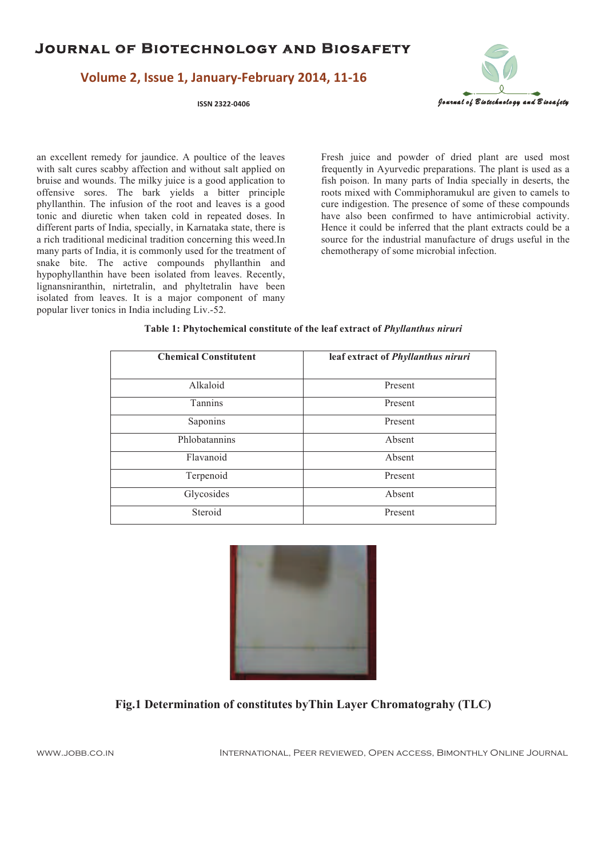### **Yolume 2, Issue 1, January-February 2014, 11-16**



an excellent remedy for jaundice. A poultice of the leaves with salt cures scabby affection and without salt applied on bruise and wounds. The milky juice is a good application to offensive sores. The bark yields a bitter principle phyllanthin. The infusion of the root and leaves is a good tonic and diuretic when taken cold in repeated doses. In different parts of India, specially, in Karnataka state, there is a rich traditional medicinal tradition concerning this weed.In many parts of India, it is commonly used for the treatment of snake bite. The active compounds phyllanthin and hypophyllanthin have been isolated from leaves. Recently, lignansniranthin, nirtetralin, and phyltetralin have been isolated from leaves. It is a major component of many popular liver tonics in India including Liv.-52.

Fresh juice and powder of dried plant are used most frequently in Ayurvedic preparations. The plant is used as a fish poison. In many parts of India specially in deserts, the roots mixed with Commiphoramukul are given to camels to cure indigestion. The presence of some of these compounds have also been confirmed to have antimicrobial activity. Hence it could be inferred that the plant extracts could be a source for the industrial manufacture of drugs useful in the chemotherapy of some microbial infection.

| <b>Chemical Constitutent</b> | leaf extract of Phyllanthus niruri |
|------------------------------|------------------------------------|
| Alkaloid                     | Present                            |
| <b>Tannins</b>               | Present                            |
| Saponins                     | Present                            |
| Phlobatannins                | Absent                             |
| Flavanoid                    | Absent                             |
| Terpenoid                    | Present                            |
| Glycosides                   | Absent                             |
| Steroid                      | Present                            |

#### **Table 1: Phytochemical constitute of the leaf extract of** *Phyllanthus niruri*



#### **Fig.1 Determination of constitutes byThin Layer Chromatograhy (TLC)**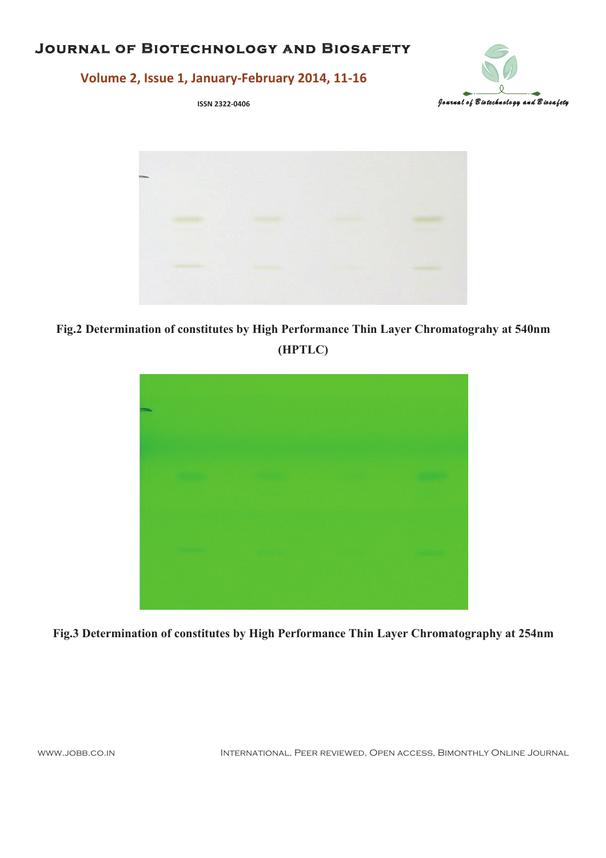# **JOURNAL OF BIOTECHNOLOGY AND BIOSAFETY**



# Volume 2, Issue 1, January-February 2014, 11-16

ISSN 2322-0406



Fig.2 Determination of constitutes by High Performance Thin Layer Chromatograhy at 540nm (HPTLC)



Fig.3 Determination of constitutes by High Performance Thin Layer Chromatography at 254nm

WWW.JOBB.CO.IN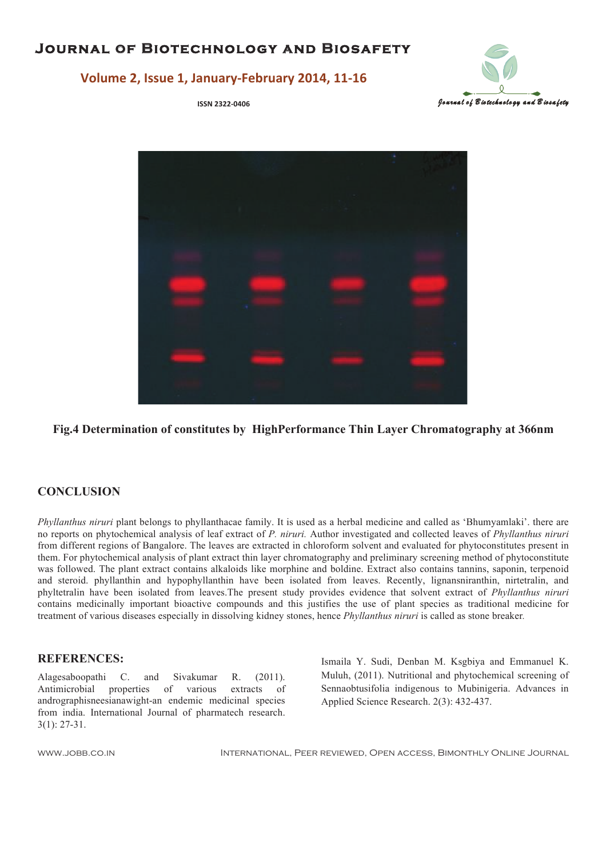

# **Yolume 2, Issue 1, January-February 2014, 11-16**



**Fig.4 Determination of constitutes by HighPerformance Thin Layer Chromatography at 366nm** 

#### **CONCLUSION**

*Phyllanthus niruri* plant belongs to phyllanthacae family. It is used as a herbal medicine and called as 'Bhumyamlaki'. there are no reports on phytochemical analysis of leaf extract of *P. niruri.* Author investigated and collected leaves of *Phyllanthus niruri*  from different regions of Bangalore. The leaves are extracted in chloroform solvent and evaluated for phytoconstitutes present in them. For phytochemical analysis of plant extract thin layer chromatography and preliminary screening method of phytoconstitute was followed. The plant extract contains alkaloids like morphine and boldine. Extract also contains tannins, saponin, terpenoid and steroid. phyllanthin and hypophyllanthin have been isolated from leaves. Recently, lignansniranthin, nirtetralin, and phyltetralin have been isolated from leaves.The present study provides evidence that solvent extract of *Phyllanthus niruri*  contains medicinally important bioactive compounds and this justifies the use of plant species as traditional medicine for treatment of various diseases especially in dissolving kidney stones, hence *Phyllanthus niruri* is called as stone breaker*.*

#### **REFERENCES:**

Alagesaboopathi C. and Sivakumar R. (2011). Antimicrobial properties of various extracts of andrographisneesianawight-an endemic medicinal species from india. International Journal of pharmatech research. 3(1): 27-31.

Ismaila Y. Sudi, Denban M. Ksgbiya and Emmanuel K. Muluh, (2011). Nutritional and phytochemical screening of Sennaobtusifolia indigenous to Mubinigeria. Advances in Applied Science Research. 2(3): 432-437.